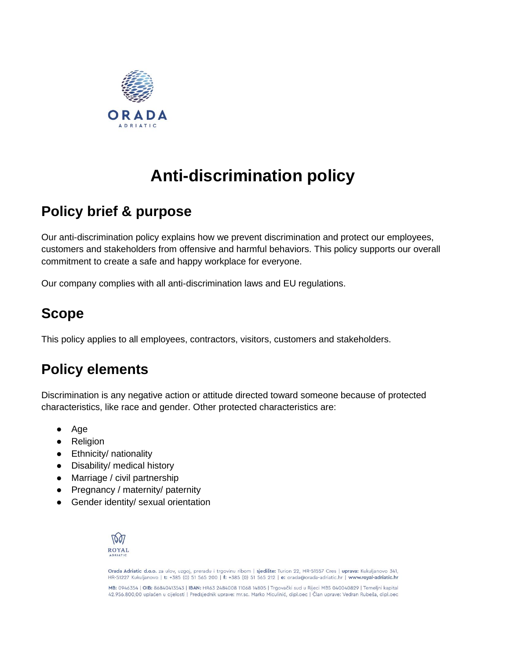

# **Anti-discrimination policy**

### **Policy brief & purpose**

Our anti-discrimination policy explains how we prevent discrimination and protect our employees, customers and stakeholders from offensive and harmful behaviors. This policy supports our overall commitment to create a safe and happy workplace for everyone.

Our company complies with all anti-discrimination laws and EU regulations.

### **Scope**

This policy applies to all employees, contractors, visitors, customers and stakeholders.

## **Policy elements**

Discrimination is any negative action or attitude directed toward someone because of protected characteristics, like race and gender. Other protected characteristics are:

- Age
- Religion
- Ethnicity/ nationality
- Disability/ medical history
- Marriage / civil partnership
- Pregnancy / maternity/ paternity
- Gender identity/ sexual orientation



Orada Adriatic d.o.o. za ulov, uzgoj, preradu i trgovinu ribom | sjedište: Turion 22, HR-51557 Cres | uprava: Kukuljanovo 341, HR-51227 Kukuljanovo | t: +385 (0) 51 565 200 | f: +385 (0) 51 565 212 | e: orada@orada-adriatic.hr | www.royal-adriatic.hr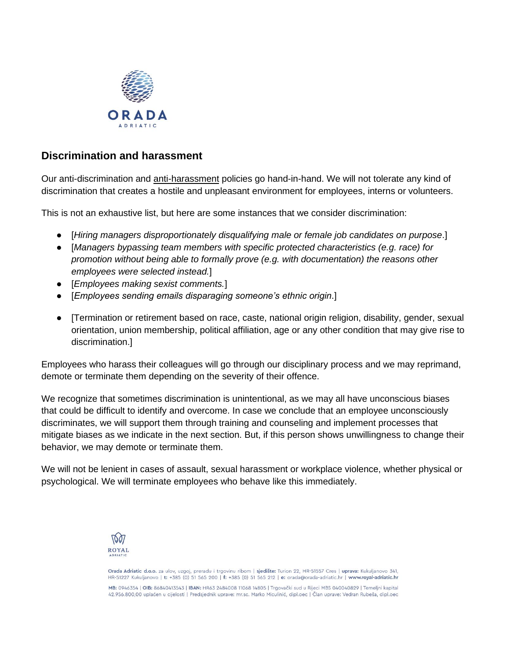

#### **Discrimination and harassment**

Our anti-discrimination an[d](https://resources.workable.com/workplace-harassment-company-policy) [anti-harassment](https://resources.workable.com/workplace-harassment-company-policy) policies go hand-in-hand. We will not tolerate any kind of discrimination that creates a hostile and unpleasant environment for employees, interns or volunteers.

This is not an exhaustive list, but here are some instances that we consider discrimination:

- [*Hiring managers disproportionately disqualifying male or female job candidates on purpose*.]
- [*Managers bypassing team members with specific protected characteristics (e.g. race) for promotion without being able to formally prove (e.g. with documentation) the reasons other employees were selected instead.*]
- [*Employees making sexist comments.*]
- [*Employees sending emails disparaging someone's ethnic origin*.]
- [Termination or retirement based on race, caste, national origin religion, disability, gender, sexual orientation, union membership, political affiliation, age or any other condition that may give rise to discrimination.]

Employees who harass their colleagues will go through our disciplinary process and we may reprimand, demote or terminate them depending on the severity of their offence.

We recognize that sometimes discrimination is unintentional, as we may all have unconscious biases that could be difficult to identify and overcome. In case we conclude that an employee unconsciously discriminates, we will support them through training and counseling and implement processes that mitigate biases as we indicate in the next section. But, if this person shows unwillingness to change their behavior, we may demote or terminate them.

We will not be lenient in cases of assault, sexual harassment or workplace violence, whether physical or psychological. We will terminate employees who behave like this immediately.



Orada Adriatic d.o.o. za ulov, uzgoj, preradu i trgovinu ribom | sjedište: Turion 22, HR-51557 Cres | uprava: Kukuljanovo 341, HR-51227 Kukulianovo | t: +385 (0) 51 565 200 | f: +385 (0) 51 565 212 | e: orada@orada-adriatic.hr | www.royal-adriatic.hr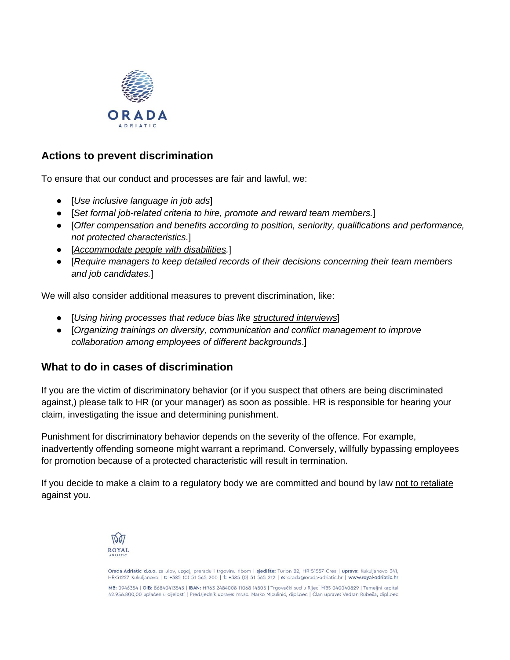

#### **Actions to prevent discrimination**

To ensure that our conduct and processes are fair and lawful, we:

- [*Use inclusive language in job ads*]
- [*Set formal job-related criteria to hire, promote and reward team members.*]
- [*Offer compensation and benefits according to position, seniority, qualifications and performance, not protected characteristics.*]
- [*[Accommodate people with disabilities.](https://resources.workable.com/accessibility-company-policy)*]
- [*Require managers to keep detailed records of their decisions concerning their team members and job candidates.*]

We will also consider additional measures to prevent discrimination, like:

- [*Using hiring processes that reduce bias lik[e](https://get.workable.com/structured-interviews-101/) [structured interviews](https://get.workable.com/structured-interviews-101/)*]
- [*Organizing trainings on diversity, communication and conflict management to improve collaboration among employees of different backgrounds*.]

#### **What to do in cases of discrimination**

If you are the victim of discriminatory behavior (or if you suspect that others are being discriminated against,) please talk to HR (or your manager) as soon as possible. HR is responsible for hearing your claim, investigating the issue and determining punishment.

Punishment for discriminatory behavior depends on the severity of the offence. For example, inadvertently offending someone might warrant a reprimand. Conversely, willfully bypassing employees for promotion because of a protected characteristic will result in termination.

If you decide to make a claim to a regulatory body we are committed and bound by law [not to retaliate](https://resources.workable.com/no-retaliation-company-policy) against you.



Orada Adriatic d.o.o. za ulov, uzgoj, preradu i trgovinu ribom | sjedište: Turion 22, HR-51557 Cres | uprava: Kukuljanovo 341, HR-51227 Kukuljanovo | t: +385 (0) 51 565 200 | f: +385 (0) 51 565 212 | e: orada@orada-adriatic.hr | www.royal-adriatic.hr